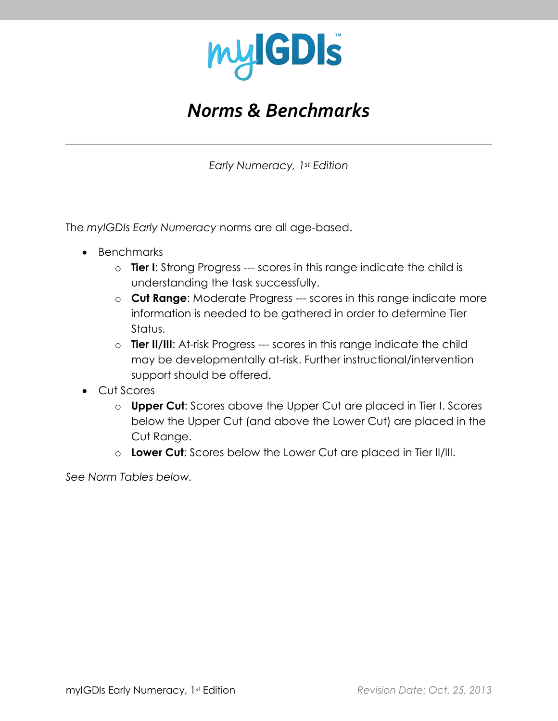

## *Norms & Benchmarks*

*Early Numeracy, 1st Edition*

The *myIGDIs Early Numeracy* norms are all age-based.

- Benchmarks
	- o **Tier I**: Strong Progress --- scores in this range indicate the child is understanding the task successfully.
	- o **Cut Range**: Moderate Progress --- scores in this range indicate more information is needed to be gathered in order to determine Tier Status.
	- o **Tier II/III**: At-risk Progress --- scores in this range indicate the child may be developmentally at-risk. Further instructional/intervention support should be offered.
- Cut Scores
	- o **Upper Cut**: Scores above the Upper Cut are placed in Tier I. Scores below the Upper Cut (and above the Lower Cut) are placed in the Cut Range.
	- o **Lower Cut**: Scores below the Lower Cut are placed in Tier II/III.

*See Norm Tables below.*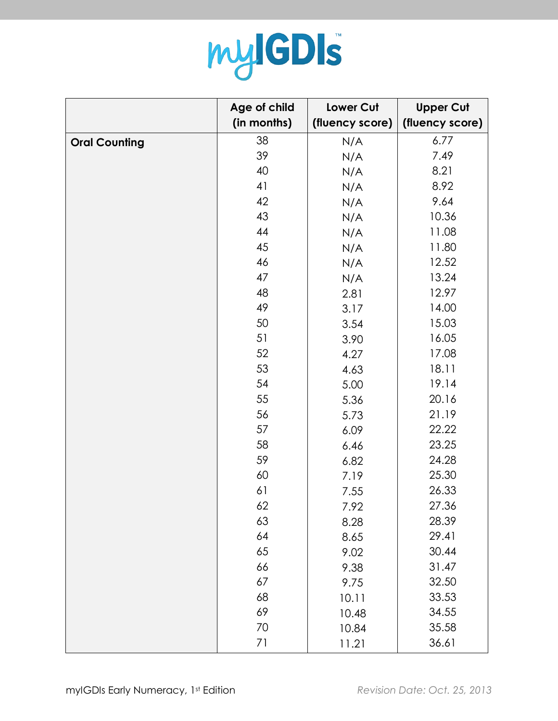

|                      | Age of child | Lower Cut       | <b>Upper Cut</b> |
|----------------------|--------------|-----------------|------------------|
|                      | (in months)  | (fluency score) | (fluency score)  |
| <b>Oral Counting</b> | 38           | N/A             | 6.77             |
|                      | 39           | N/A             | 7.49             |
|                      | 40           | N/A             | 8.21             |
|                      | 41           | N/A             | 8.92             |
|                      | 42           | N/A             | 9.64             |
|                      | 43           | N/A             | 10.36            |
|                      | 44           | N/A             | 11.08            |
|                      | 45           | N/A             | 11.80            |
|                      | 46           | N/A             | 12.52            |
|                      | 47           | N/A             | 13.24            |
|                      | 48           | 2.81            | 12.97            |
|                      | 49           | 3.17            | 14.00            |
|                      | 50           | 3.54            | 15.03            |
|                      | 51           | 3.90            | 16.05            |
|                      | 52           | 4.27            | 17.08            |
|                      | 53           | 4.63            | 18.11            |
|                      | 54           | 5.00            | 19.14            |
|                      | 55           | 5.36            | 20.16            |
|                      | 56           | 5.73            | 21.19            |
|                      | 57           | 6.09            | 22.22            |
|                      | 58           | 6.46            | 23.25            |
|                      | 59           | 6.82            | 24.28            |
|                      | 60           | 7.19            | 25.30            |
|                      | 61           | 7.55            | 26.33            |
|                      | 62           | 7.92            | 27.36            |
|                      | 63           | 8.28            | 28.39            |
|                      | 64           | 8.65            | 29.41            |
|                      | 65           | 9.02            | 30.44            |
|                      | 66           | 9.38            | 31.47            |
|                      | 67           | 9.75            | 32.50            |
|                      | 68           | 10.11           | 33.53            |
|                      | 69           | 10.48           | 34.55            |
|                      | 70           | 10.84           | 35.58            |
|                      | 71           | 11.21           | 36.61            |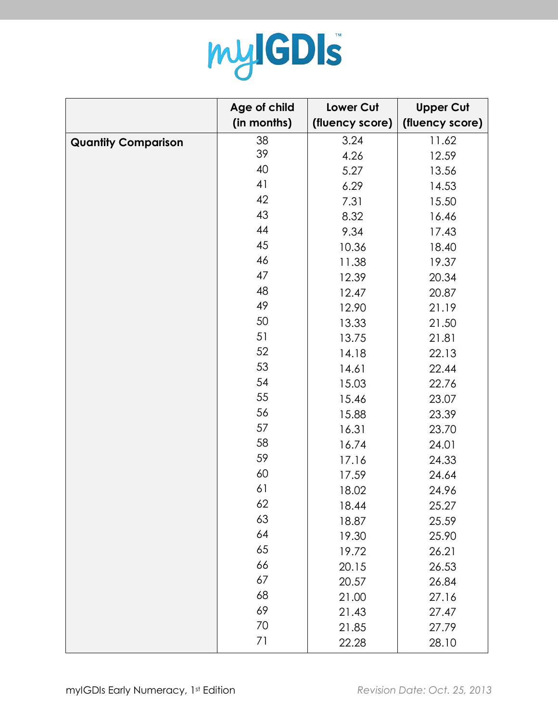

|                            | Age of child | Lower Cut       | <b>Upper Cut</b> |
|----------------------------|--------------|-----------------|------------------|
|                            | (in months)  | (fluency score) | (fluency score)  |
| <b>Quantity Comparison</b> | 38           | 3.24            | 11.62            |
|                            | 39           | 4.26            | 12.59            |
|                            | 40           | 5.27            | 13.56            |
|                            | 41           | 6.29            | 14.53            |
|                            | 42           | 7.31            | 15.50            |
|                            | 43           | 8.32            | 16.46            |
|                            | 44           | 9.34            | 17.43            |
|                            | 45           | 10.36           | 18.40            |
|                            | 46           | 11.38           | 19.37            |
|                            | 47           | 12.39           | 20.34            |
|                            | 48           | 12.47           | 20.87            |
|                            | 49           | 12.90           | 21.19            |
|                            | 50           | 13.33           | 21.50            |
|                            | 51           | 13.75           | 21.81            |
|                            | 52           | 14.18           | 22.13            |
|                            | 53           | 14.61           | 22.44            |
|                            | 54           | 15.03           | 22.76            |
|                            | 55           | 15.46           | 23.07            |
|                            | 56           | 15.88           | 23.39            |
|                            | 57           | 16.31           | 23.70            |
|                            | 58           | 16.74           | 24.01            |
|                            | 59           | 17.16           | 24.33            |
|                            | 60           | 17.59           | 24.64            |
|                            | 61           | 18.02           | 24.96            |
|                            | 62           | 18.44           | 25.27            |
|                            | 63           | 18.87           | 25.59            |
|                            | 64           | 19.30           | 25.90            |
|                            | 65           | 19.72           | 26.21            |
|                            | 66           | 20.15           | 26.53            |
|                            | 67           | 20.57           | 26.84            |
|                            | 68           | 21.00           | 27.16            |
|                            | 69           | 21.43           | 27.47            |
|                            | 70           | 21.85           | 27.79            |
|                            | 71           | 22.28           | 28.10            |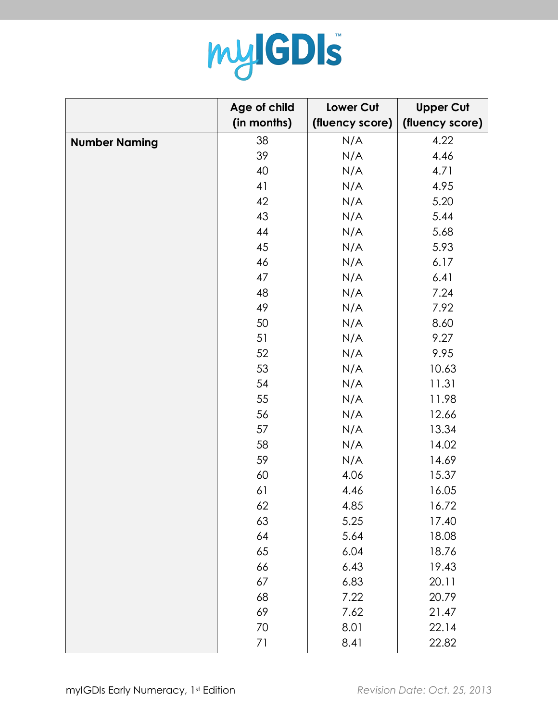

|                      | Age of child | Lower Cut       | <b>Upper Cut</b> |
|----------------------|--------------|-----------------|------------------|
|                      | (in months)  | (fluency score) | (fluency score)  |
| <b>Number Naming</b> | 38           | N/A             | 4.22             |
|                      | 39           | N/A             | 4.46             |
|                      | 40           | N/A             | 4.71             |
|                      | 41           | N/A             | 4.95             |
|                      | 42           | N/A             | 5.20             |
|                      | 43           | N/A             | 5.44             |
|                      | 44           | N/A             | 5.68             |
|                      | 45           | N/A             | 5.93             |
|                      | 46           | N/A             | 6.17             |
|                      | 47           | N/A             | 6.41             |
|                      | 48           | N/A             | 7.24             |
|                      | 49           | N/A             | 7.92             |
|                      | 50           | N/A             | 8.60             |
|                      | 51           | N/A             | 9.27             |
|                      | 52           | N/A             | 9.95             |
|                      | 53           | N/A             | 10.63            |
|                      | 54           | N/A             | 11.31            |
|                      | 55           | N/A             | 11.98            |
|                      | 56           | N/A             | 12.66            |
|                      | 57           | N/A             | 13.34            |
|                      | 58           | N/A             | 14.02            |
|                      | 59           | N/A             | 14.69            |
|                      | 60           | 4.06            | 15.37            |
|                      | 61           | 4.46            | 16.05            |
|                      | 62           | 4.85            | 16.72            |
|                      | 63           | 5.25            | 17.40            |
|                      | 64           | 5.64            | 18.08            |
|                      | 65           | 6.04            | 18.76            |
|                      | 66           | 6.43            | 19.43            |
|                      | 67           | 6.83            | 20.11            |
|                      | 68           | 7.22            | 20.79            |
|                      | 69           | 7.62            | 21.47            |
|                      | 70           | 8.01            | 22.14            |
|                      | 71           | 8.41            | 22.82            |